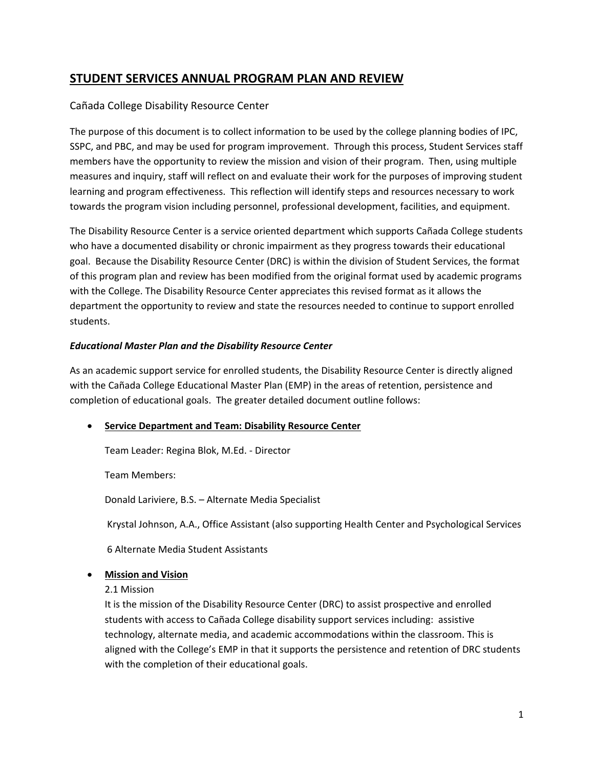# **STUDENT SERVICES ANNUAL PROGRAM PLAN AND REVIEW**

# Cañada College Disability Resource Center

The purpose of this document is to collect information to be used by the college planning bodies of IPC, SSPC, and PBC, and may be used for program improvement. Through this process, Student Services staff members have the opportunity to review the mission and vision of their program. Then, using multiple measures and inquiry, staff will reflect on and evaluate their work for the purposes of improving student learning and program effectiveness. This reflection will identify steps and resources necessary to work towards the program vision including personnel, professional development, facilities, and equipment.

The Disability Resource Center is a service oriented department which supports Cañada College students who have a documented disability or chronic impairment as they progress towards their educational goal. Because the Disability Resource Center (DRC) is within the division of Student Services, the format of this program plan and review has been modified from the original format used by academic programs with the College. The Disability Resource Center appreciates this revised format as it allows the department the opportunity to review and state the resources needed to continue to support enrolled students.

# *Educational Master Plan and the Disability Resource Center*

As an academic support service for enrolled students, the Disability Resource Center is directly aligned with the Cañada College Educational Master Plan (EMP) in the areas of retention, persistence and completion of educational goals. The greater detailed document outline follows:

# **Service Department and Team: Disability Resource Center**

Team Leader: Regina Blok, M.Ed. ‐ Director

Team Members:

Donald Lariviere, B.S. – Alternate Media Specialist

Krystal Johnson, A.A., Office Assistant (also supporting Health Center and Psychological Services

6 Alternate Media Student Assistants

# **Mission and Vision**

2.1 Mission

It is the mission of the Disability Resource Center (DRC) to assist prospective and enrolled students with access to Cañada College disability support services including: assistive technology, alternate media, and academic accommodations within the classroom. This is aligned with the College's EMP in that it supports the persistence and retention of DRC students with the completion of their educational goals.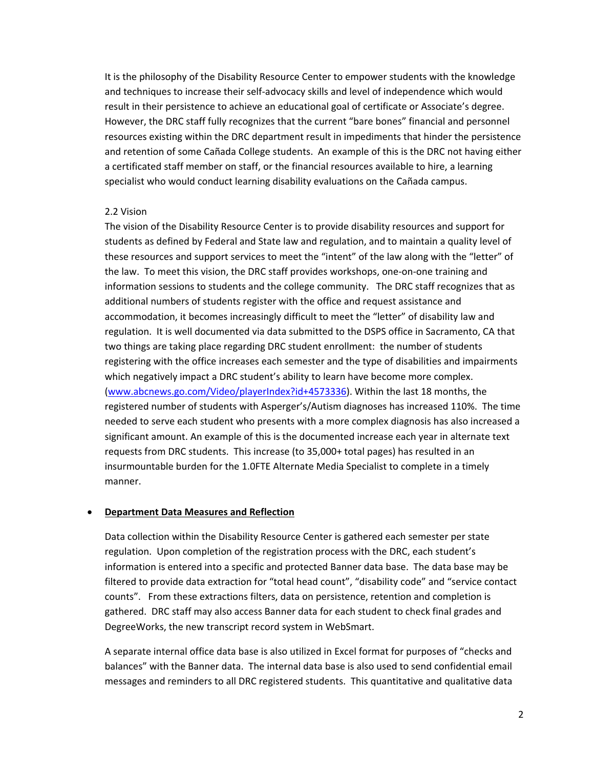It is the philosophy of the Disability Resource Center to empower students with the knowledge and techniques to increase their self‐advocacy skills and level of independence which would result in their persistence to achieve an educational goal of certificate or Associate's degree. However, the DRC staff fully recognizes that the current "bare bones" financial and personnel resources existing within the DRC department result in impediments that hinder the persistence and retention of some Cañada College students. An example of this is the DRC not having either a certificated staff member on staff, or the financial resources available to hire, a learning specialist who would conduct learning disability evaluations on the Cañada campus.

#### 2.2 Vision

The vision of the Disability Resource Center is to provide disability resources and support for students as defined by Federal and State law and regulation, and to maintain a quality level of these resources and support services to meet the "intent" of the law along with the "letter" of the law. To meet this vision, the DRC staff provides workshops, one‐on‐one training and information sessions to students and the college community. The DRC staff recognizes that as additional numbers of students register with the office and request assistance and accommodation, it becomes increasingly difficult to meet the "letter" of disability law and regulation. It is well documented via data submitted to the DSPS office in Sacramento, CA that two things are taking place regarding DRC student enrollment: the number of students registering with the office increases each semester and the type of disabilities and impairments which negatively impact a DRC student's ability to learn have become more complex. (www.abcnews.go.com/Video/playerIndex?id+4573336). Within the last 18 months, the registered number of students with Asperger's/Autism diagnoses has increased 110%. The time needed to serve each student who presents with a more complex diagnosis has also increased a significant amount. An example of this is the documented increase each year in alternate text requests from DRC students. This increase (to 35,000+ total pages) has resulted in an insurmountable burden for the 1.0FTE Alternate Media Specialist to complete in a timely manner.

#### **Department Data Measures and Reflection**

Data collection within the Disability Resource Center is gathered each semester per state regulation. Upon completion of the registration process with the DRC, each student's information is entered into a specific and protected Banner data base. The data base may be filtered to provide data extraction for "total head count", "disability code" and "service contact counts". From these extractions filters, data on persistence, retention and completion is gathered. DRC staff may also access Banner data for each student to check final grades and DegreeWorks, the new transcript record system in WebSmart.

A separate internal office data base is also utilized in Excel format for purposes of "checks and balances" with the Banner data. The internal data base is also used to send confidential email messages and reminders to all DRC registered students. This quantitative and qualitative data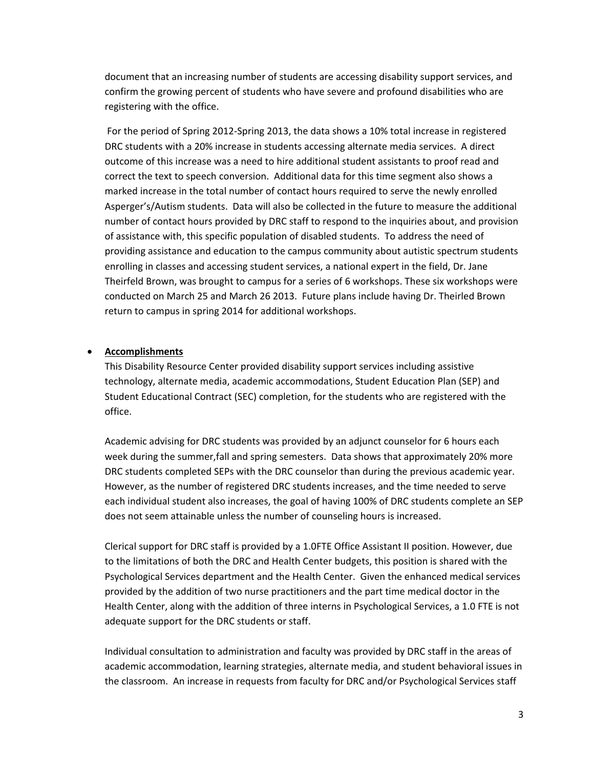document that an increasing number of students are accessing disability support services, and confirm the growing percent of students who have severe and profound disabilities who are registering with the office.

For the period of Spring 2012‐Spring 2013, the data shows a 10% total increase in registered DRC students with a 20% increase in students accessing alternate media services. A direct outcome of this increase was a need to hire additional student assistants to proof read and correct the text to speech conversion. Additional data for this time segment also shows a marked increase in the total number of contact hours required to serve the newly enrolled Asperger's/Autism students. Data will also be collected in the future to measure the additional number of contact hours provided by DRC staff to respond to the inquiries about, and provision of assistance with, this specific population of disabled students. To address the need of providing assistance and education to the campus community about autistic spectrum students enrolling in classes and accessing student services, a national expert in the field, Dr. Jane Theirfeld Brown, was brought to campus for a series of 6 workshops. These six workshops were conducted on March 25 and March 26 2013. Future plans include having Dr. Theirled Brown return to campus in spring 2014 for additional workshops.

## **Accomplishments**

This Disability Resource Center provided disability support services including assistive technology, alternate media, academic accommodations, Student Education Plan (SEP) and Student Educational Contract (SEC) completion, for the students who are registered with the office.

Academic advising for DRC students was provided by an adjunct counselor for 6 hours each week during the summer,fall and spring semesters. Data shows that approximately 20% more DRC students completed SEPs with the DRC counselor than during the previous academic year. However, as the number of registered DRC students increases, and the time needed to serve each individual student also increases, the goal of having 100% of DRC students complete an SEP does not seem attainable unless the number of counseling hours is increased.

Clerical support for DRC staff is provided by a 1.0FTE Office Assistant II position. However, due to the limitations of both the DRC and Health Center budgets, this position is shared with the Psychological Services department and the Health Center. Given the enhanced medical services provided by the addition of two nurse practitioners and the part time medical doctor in the Health Center, along with the addition of three interns in Psychological Services, a 1.0 FTE is not adequate support for the DRC students or staff.

Individual consultation to administration and faculty was provided by DRC staff in the areas of academic accommodation, learning strategies, alternate media, and student behavioral issues in the classroom. An increase in requests from faculty for DRC and/or Psychological Services staff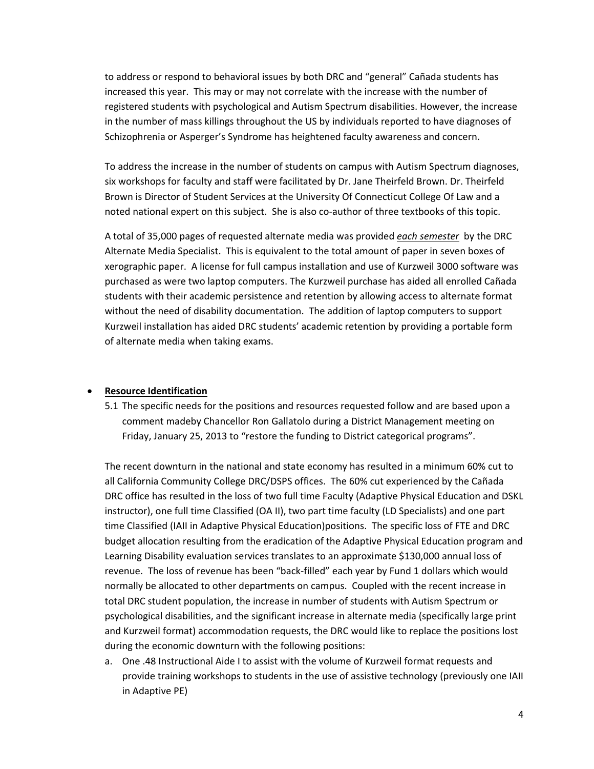to address or respond to behavioral issues by both DRC and "general" Cañada students has increased this year. This may or may not correlate with the increase with the number of registered students with psychological and Autism Spectrum disabilities. However, the increase in the number of mass killings throughout the US by individuals reported to have diagnoses of Schizophrenia or Asperger's Syndrome has heightened faculty awareness and concern.

To address the increase in the number of students on campus with Autism Spectrum diagnoses, six workshops for faculty and staff were facilitated by Dr. Jane Theirfeld Brown. Dr. Theirfeld Brown is Director of Student Services at the University Of Connecticut College Of Law and a noted national expert on this subject. She is also co-author of three textbooks of this topic.

A total of 35,000 pages of requested alternate media was provided *each semester* by the DRC Alternate Media Specialist. This is equivalent to the total amount of paper in seven boxes of xerographic paper. A license for full campus installation and use of Kurzweil 3000 software was purchased as were two laptop computers. The Kurzweil purchase has aided all enrolled Cañada students with their academic persistence and retention by allowing access to alternate format without the need of disability documentation. The addition of laptop computers to support Kurzweil installation has aided DRC students' academic retention by providing a portable form of alternate media when taking exams.

## **Resource Identification**

5.1 The specific needs for the positions and resources requested follow and are based upon a comment madeby Chancellor Ron Gallatolo during a District Management meeting on Friday, January 25, 2013 to "restore the funding to District categorical programs".

The recent downturn in the national and state economy has resulted in a minimum 60% cut to all California Community College DRC/DSPS offices. The 60% cut experienced by the Cañada DRC office has resulted in the loss of two full time Faculty (Adaptive Physical Education and DSKL instructor), one full time Classified (OA II), two part time faculty (LD Specialists) and one part time Classified (IAII in Adaptive Physical Education)positions. The specific loss of FTE and DRC budget allocation resulting from the eradication of the Adaptive Physical Education program and Learning Disability evaluation services translates to an approximate \$130,000 annual loss of revenue. The loss of revenue has been "back‐filled" each year by Fund 1 dollars which would normally be allocated to other departments on campus. Coupled with the recent increase in total DRC student population, the increase in number of students with Autism Spectrum or psychological disabilities, and the significant increase in alternate media (specifically large print and Kurzweil format) accommodation requests, the DRC would like to replace the positions lost during the economic downturn with the following positions:

a. One .48 Instructional Aide I to assist with the volume of Kurzweil format requests and provide training workshops to students in the use of assistive technology (previously one IAII in Adaptive PE)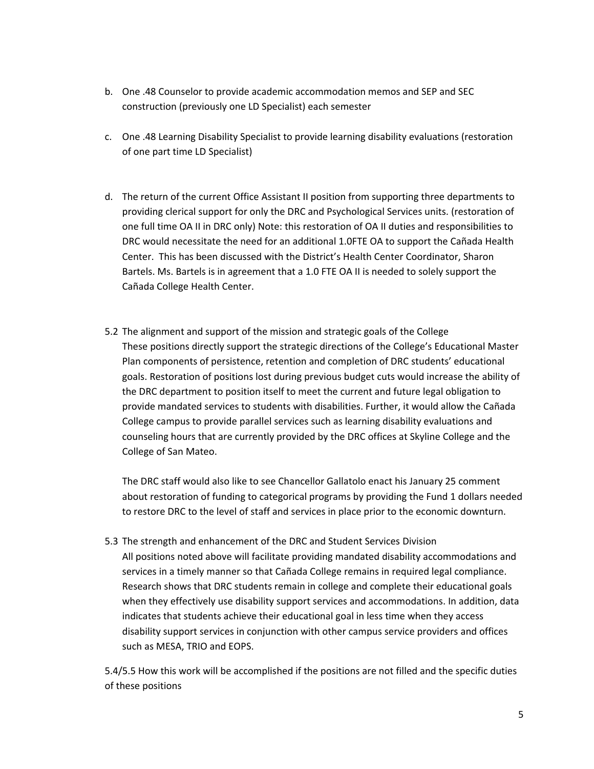- b. One .48 Counselor to provide academic accommodation memos and SEP and SEC construction (previously one LD Specialist) each semester
- c. One .48 Learning Disability Specialist to provide learning disability evaluations (restoration of one part time LD Specialist)
- d. The return of the current Office Assistant II position from supporting three departments to providing clerical support for only the DRC and Psychological Services units. (restoration of one full time OA II in DRC only) Note: this restoration of OA II duties and responsibilities to DRC would necessitate the need for an additional 1.0FTE OA to support the Cañada Health Center. This has been discussed with the District's Health Center Coordinator, Sharon Bartels. Ms. Bartels is in agreement that a 1.0 FTE OA II is needed to solely support the Cañada College Health Center.
- 5.2 The alignment and support of the mission and strategic goals of the College These positions directly support the strategic directions of the College's Educational Master Plan components of persistence, retention and completion of DRC students' educational goals. Restoration of positions lost during previous budget cuts would increase the ability of the DRC department to position itself to meet the current and future legal obligation to provide mandated services to students with disabilities. Further, it would allow the Cañada College campus to provide parallel services such as learning disability evaluations and counseling hours that are currently provided by the DRC offices at Skyline College and the College of San Mateo.

The DRC staff would also like to see Chancellor Gallatolo enact his January 25 comment about restoration of funding to categorical programs by providing the Fund 1 dollars needed to restore DRC to the level of staff and services in place prior to the economic downturn.

5.3 The strength and enhancement of the DRC and Student Services Division All positions noted above will facilitate providing mandated disability accommodations and services in a timely manner so that Cañada College remains in required legal compliance. Research shows that DRC students remain in college and complete their educational goals when they effectively use disability support services and accommodations. In addition, data indicates that students achieve their educational goal in less time when they access disability support services in conjunction with other campus service providers and offices such as MESA, TRIO and EOPS.

5.4/5.5 How this work will be accomplished if the positions are not filled and the specific duties of these positions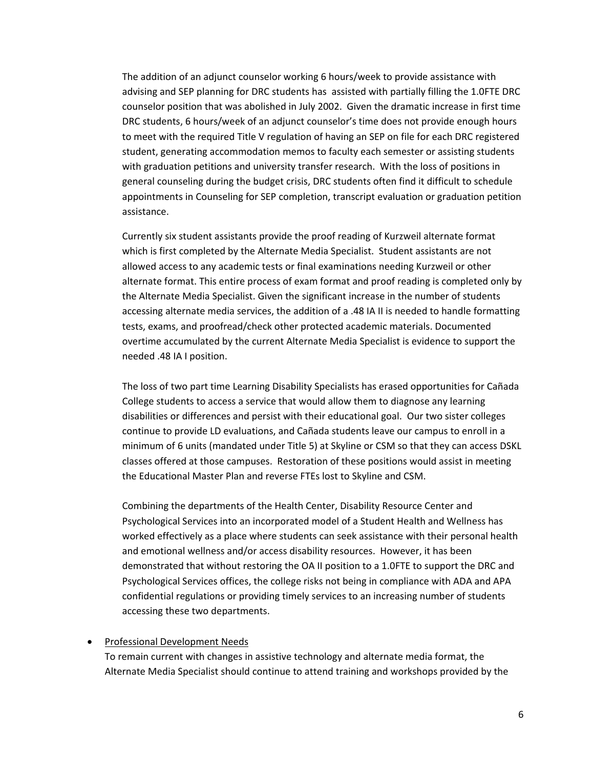The addition of an adjunct counselor working 6 hours/week to provide assistance with advising and SEP planning for DRC students has assisted with partially filling the 1.0FTE DRC counselor position that was abolished in July 2002. Given the dramatic increase in first time DRC students, 6 hours/week of an adjunct counselor's time does not provide enough hours to meet with the required Title V regulation of having an SEP on file for each DRC registered student, generating accommodation memos to faculty each semester or assisting students with graduation petitions and university transfer research. With the loss of positions in general counseling during the budget crisis, DRC students often find it difficult to schedule appointments in Counseling for SEP completion, transcript evaluation or graduation petition assistance.

Currently six student assistants provide the proof reading of Kurzweil alternate format which is first completed by the Alternate Media Specialist. Student assistants are not allowed access to any academic tests or final examinations needing Kurzweil or other alternate format. This entire process of exam format and proof reading is completed only by the Alternate Media Specialist. Given the significant increase in the number of students accessing alternate media services, the addition of a .48 IA II is needed to handle formatting tests, exams, and proofread/check other protected academic materials. Documented overtime accumulated by the current Alternate Media Specialist is evidence to support the needed .48 IA I position.

The loss of two part time Learning Disability Specialists has erased opportunities for Cañada College students to access a service that would allow them to diagnose any learning disabilities or differences and persist with their educational goal. Our two sister colleges continue to provide LD evaluations, and Cañada students leave our campus to enroll in a minimum of 6 units (mandated under Title 5) at Skyline or CSM so that they can access DSKL classes offered at those campuses. Restoration of these positions would assist in meeting the Educational Master Plan and reverse FTEs lost to Skyline and CSM.

Combining the departments of the Health Center, Disability Resource Center and Psychological Services into an incorporated model of a Student Health and Wellness has worked effectively as a place where students can seek assistance with their personal health and emotional wellness and/or access disability resources. However, it has been demonstrated that without restoring the OA II position to a 1.0FTE to support the DRC and Psychological Services offices, the college risks not being in compliance with ADA and APA confidential regulations or providing timely services to an increasing number of students accessing these two departments.

#### Professional Development Needs

To remain current with changes in assistive technology and alternate media format, the Alternate Media Specialist should continue to attend training and workshops provided by the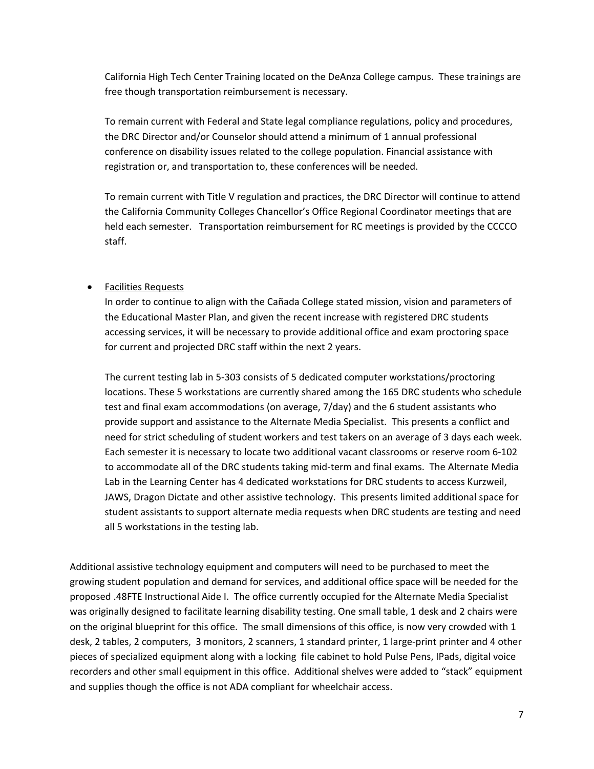California High Tech Center Training located on the DeAnza College campus. These trainings are free though transportation reimbursement is necessary.

To remain current with Federal and State legal compliance regulations, policy and procedures, the DRC Director and/or Counselor should attend a minimum of 1 annual professional conference on disability issues related to the college population. Financial assistance with registration or, and transportation to, these conferences will be needed.

To remain current with Title V regulation and practices, the DRC Director will continue to attend the California Community Colleges Chancellor's Office Regional Coordinator meetings that are held each semester. Transportation reimbursement for RC meetings is provided by the CCCCO staff.

## **•** Facilities Requests

In order to continue to align with the Cañada College stated mission, vision and parameters of the Educational Master Plan, and given the recent increase with registered DRC students accessing services, it will be necessary to provide additional office and exam proctoring space for current and projected DRC staff within the next 2 years.

The current testing lab in 5‐303 consists of 5 dedicated computer workstations/proctoring locations. These 5 workstations are currently shared among the 165 DRC students who schedule test and final exam accommodations (on average, 7/day) and the 6 student assistants who provide support and assistance to the Alternate Media Specialist. This presents a conflict and need for strict scheduling of student workers and test takers on an average of 3 days each week. Each semester it is necessary to locate two additional vacant classrooms or reserve room 6‐102 to accommodate all of the DRC students taking mid‐term and final exams. The Alternate Media Lab in the Learning Center has 4 dedicated workstations for DRC students to access Kurzweil, JAWS, Dragon Dictate and other assistive technology. This presents limited additional space for student assistants to support alternate media requests when DRC students are testing and need all 5 workstations in the testing lab.

Additional assistive technology equipment and computers will need to be purchased to meet the growing student population and demand for services, and additional office space will be needed for the proposed .48FTE Instructional Aide I. The office currently occupied for the Alternate Media Specialist was originally designed to facilitate learning disability testing. One small table, 1 desk and 2 chairs were on the original blueprint for this office. The small dimensions of this office, is now very crowded with 1 desk, 2 tables, 2 computers, 3 monitors, 2 scanners, 1 standard printer, 1 large‐print printer and 4 other pieces of specialized equipment along with a locking file cabinet to hold Pulse Pens, IPads, digital voice recorders and other small equipment in this office. Additional shelves were added to "stack" equipment and supplies though the office is not ADA compliant for wheelchair access.